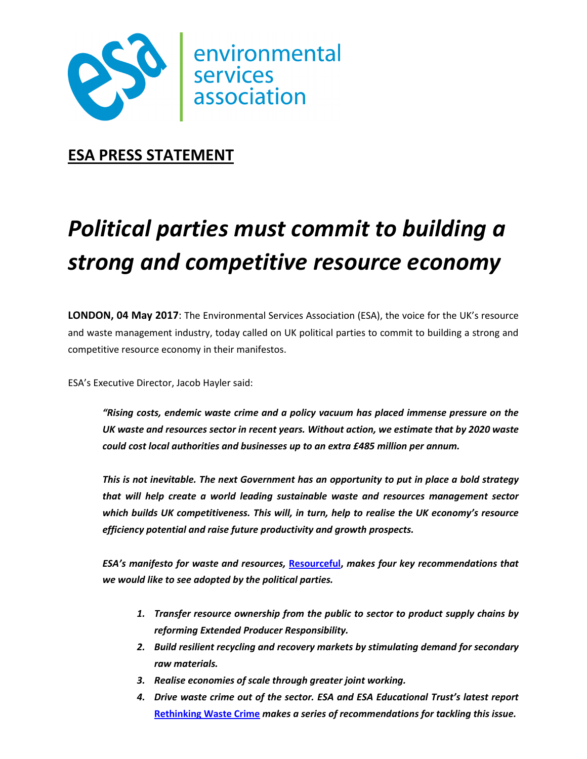

## **ESA PRESS STATEMENT**

# *Political parties must commit to building a strong and competitive resource economy*

**LONDON, 04 May 2017**: The Environmental Services Association (ESA), the voice for the UK's resource and waste management industry, today called on UK political parties to commit to building a strong and competitive resource economy in their manifestos.

ESA's Executive Director, Jacob Hayler said:

*"Rising costs, endemic waste crime and a policy vacuum has placed immense pressure on the UK waste and resources sector in recent years. Without action, we estimate that by 2020 waste could cost local authorities and businesses up to an extra £485 million per annum.* 

*This is not inevitable. The next Government has an opportunity to put in place a bold strategy that will help create a world leading sustainable waste and resources management sector which builds UK competitiveness. This will, in turn, help to realise the UK economy's resource efficiency potential and raise future productivity and growth prospects.* 

*ESA's manifesto for waste and resources,* **Resourceful,** *makes four key recommendations that we would like to see adopted by the political parties.* 

- *1. Transfer resource ownership from the public to sector to product supply chains by reforming Extended Producer Responsibility.*
- *2. Build resilient recycling and recovery markets by stimulating demand for secondary raw materials.*
- *3. Realise economies of scale through greater joint working.*
- *4. Drive waste crime out of the sector. ESA and ESA Educational Trust's latest report*  **Rethinking Waste Crime** *makes a series of recommendations for tackling this issue.*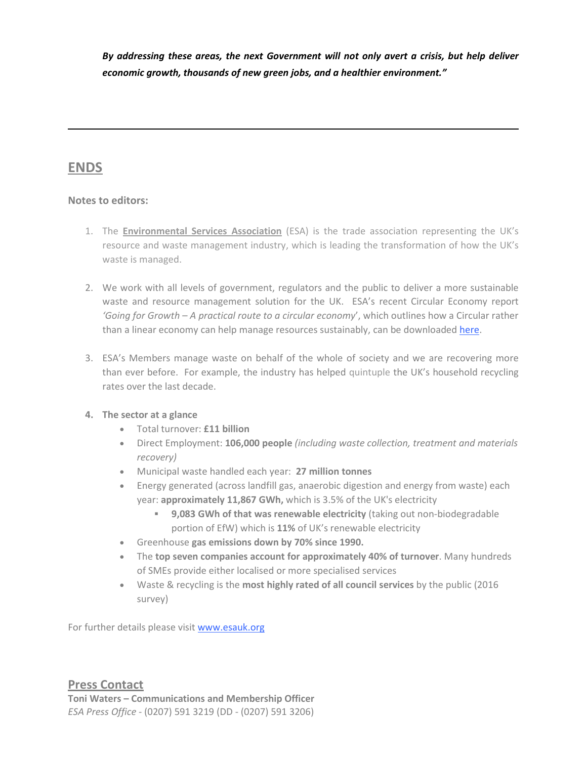*By addressing these areas, the next Government will not only avert a crisis, but help deliver economic growth, thousands of new green jobs, and a healthier environment."* 

### **ENDS**

#### **Notes to editors:**

- 1. The **Environmental Services Association** (ESA) is the trade association representing the UK's resource and waste management industry, which is leading the transformation of how the UK's waste is managed.
- 2. We work with all levels of government, regulators and the public to deliver a more sustainable waste and resource management solution for the UK. ESA's recent Circular Economy report *'Going for Growth – A practical route to a circular economy*', which outlines how a Circular rather than a linear economy can help manage resources sustainably, can be downloaded here.
- 3. ESA's Members manage waste on behalf of the whole of society and we are recovering more than ever before. For example, the industry has helped quintuple the UK's household recycling rates over the last decade.

#### **4. The sector at a glance**

- Total turnover: **£11 billion**
- Direct Employment: **106,000 people** *(including waste collection, treatment and materials recovery)*
- Municipal waste handled each year: **27 million tonnes**
- Energy generated (across landfill gas, anaerobic digestion and energy from waste) each year: **approximately 11,867 GWh,** which is 3.5% of the UK's electricity
	- **9,083 GWh of that was renewable electricity** (taking out non-biodegradable portion of EfW) which is **11%** of UK's renewable electricity
- Greenhouse **gas emissions down by 70% since 1990.**
- The **top seven companies account for approximately 40% of turnover**. Many hundreds of SMEs provide either localised or more specialised services
- Waste & recycling is the **most highly rated of all council services** by the public (2016 survey)

For further details please visit www.esauk.org

#### **Press Contact**

**Toni Waters – Communications and Membership Officer** *ESA Press Office* - (0207) 591 3219 (DD - (0207) 591 3206)